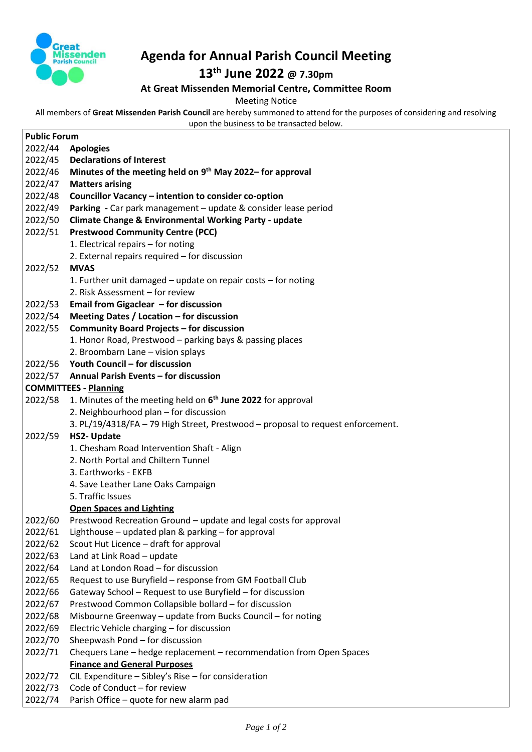

## **Agenda for Annual Parish Council Meeting**

## **13th June 2022 @ 7.30pm**

## **At Great Missenden Memorial Centre, Committee Room**

Meeting Notice

All members of **Great Missenden Parish Council** are hereby summoned to attend for the purposes of considering and resolving upon the business to be transacted below.

**Public Forum** 2022/44 **Apologies** 2022/45 **Declarations of Interest** 2022/46 **Minutes of the meeting held on 9 th May 2022– for approval**  2022/47 **Matters arising** 2022/48 **Councillor Vacancy – intention to consider co-option** 2022/49 **Parking -** Car park management – update & consider lease period 2022/50 **Climate Change & Environmental Working Party - update** 2022/51 **Prestwood Community Centre (PCC)** 1. Electrical repairs – for noting 2. External repairs required – for discussion 2022/52 **MVAS** 1. Further unit damaged – update on repair costs – for noting 2. Risk Assessment – for review 2022/53 **Email from Gigaclear – for discussion** 2022/54 **Meeting Dates / Location – for discussion** 2022/55 **Community Board Projects – for discussion** 1. Honor Road, Prestwood – parking bays & passing places 2. Broombarn Lane – vision splays 2022/56 **Youth Council – for discussion** 2022/57 **Annual Parish Events – for discussion COMMITTEES - Planning** 2022/58 1. Minutes of the meeting held on **6 th June 2022** for approval 2. Neighbourhood plan – for discussion 3. PL/19/4318/FA – 79 High Street, Prestwood – proposal to request enforcement. 2022/59 **HS2- Update** 1. Chesham Road Intervention Shaft - Align 2. North Portal and Chiltern Tunnel 3. Earthworks - EKFB 4. Save Leather Lane Oaks Campaign 5. Traffic Issues **Open Spaces and Lighting** 2022/60 Prestwood Recreation Ground – update and legal costs for approval 2022/61 Lighthouse – updated plan & parking – for approval 2022/62 Scout Hut Licence – draft for approval 2022/63 Land at Link Road – update 2022/64 Land at London Road – for discussion 2022/65 Request to use Buryfield – response from GM Football Club 2022/66 Gateway School – Request to use Buryfield – for discussion 2022/67 Prestwood Common Collapsible bollard – for discussion 2022/68 Misbourne Greenway – update from Bucks Council – for noting 2022/69 Electric Vehicle charging – for discussion 2022/70 Sheepwash Pond – for discussion 2022/71 Chequers Lane – hedge replacement – recommendation from Open Spaces **Finance and General Purposes**  2022/72 CIL Expenditure – Sibley's Rise – for consideration 2022/73 Code of Conduct – for review 2022/74 Parish Office – quote for new alarm pad